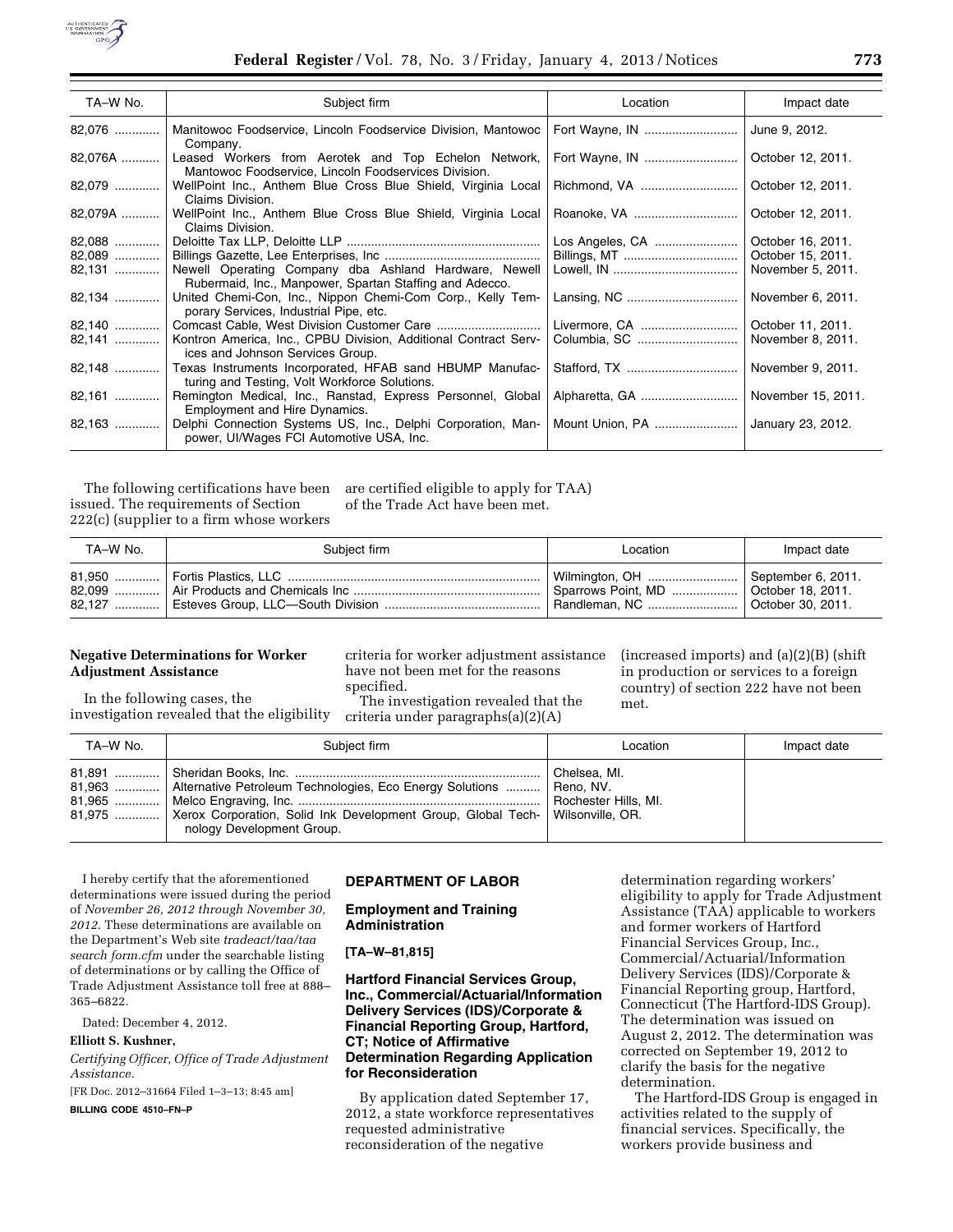

| TA-W No. | Subject firm                                                                                                     | Location        | Impact date        |
|----------|------------------------------------------------------------------------------------------------------------------|-----------------|--------------------|
| 82,076   | Manitowoc Foodservice, Lincoln Foodservice Division, Mantowoc<br>Company.                                        | Fort Wayne, IN  | June 9, 2012.      |
| 82,076A  | Leased Workers from Aerotek and Top Echelon Network,<br>Mantowoc Foodservice, Lincoln Foodservices Division.     | Fort Wayne, IN  | October 12, 2011.  |
| 82,079   | WellPoint Inc., Anthem Blue Cross Blue Shield, Virginia Local<br>Claims Division.                                | Richmond, VA    | October 12, 2011.  |
| 82,079A  | WellPoint Inc., Anthem Blue Cross Blue Shield, Virginia Local<br>Claims Division.                                | Roanoke, VA     | October 12, 2011.  |
| 82,088   |                                                                                                                  | Los Angeles, CA | October 16, 2011.  |
| 82,089   |                                                                                                                  | Billings, MT    | October 15, 2011.  |
|          | Newell Operating Company dba Ashland Hardware, Newell<br>Rubermaid, Inc., Manpower, Spartan Staffing and Adecco. |                 | November 5, 2011.  |
| 82,134   | United Chemi-Con, Inc., Nippon Chemi-Com Corp., Kelly Tem-<br>porary Services, Industrial Pipe, etc.             |                 | November 6, 2011.  |
| 82,140   |                                                                                                                  | Livermore, CA   | October 11, 2011.  |
| 82,141   | Kontron America, Inc., CPBU Division, Additional Contract Serv-<br>ices and Johnson Services Group.              |                 | November 8, 2011.  |
| 82,148   | Texas Instruments Incorporated, HFAB sand HBUMP Manufac-<br>turing and Testing, Volt Workforce Solutions.        |                 | November 9, 2011.  |
| 82,161   | Remington Medical, Inc., Ranstad, Express Personnel, Global<br>Employment and Hire Dynamics.                     | Alpharetta, GA  | November 15, 2011. |
| $82,163$ | Delphi Connection Systems US, Inc., Delphi Corporation, Man-<br>power, UI/Wages FCI Automotive USA, Inc.         | Mount Union, PA | January 23, 2012.  |

The following certifications have been issued. The requirements of Section 222(c) (supplier to a firm whose workers

are certified eligible to apply for TAA) of the Trade Act have been met.

| TA-W No. | Subject firm | Location                                                                                                              | Impact date |
|----------|--------------|-----------------------------------------------------------------------------------------------------------------------|-------------|
|          |              | Wilmington, OH    September 6, 2011.<br>Sparrows Point, MD    October 18, 2011.<br>Randleman, NC    October 30, 2011. |             |

## **Negative Determinations for Worker Adjustment Assistance**

In the following cases, the investigation revealed that the eligibility

criteria for worker adjustment assistance have not been met for the reasons specified.

The investigation revealed that the criteria under paragraphs(a)(2)(A)

(increased imports) and (a)(2)(B) (shift in production or services to a foreign country) of section 222 have not been met.

| TA-W No. | Subiect firm                                                                                                                                                                 | Location                                                                     | Impact date |
|----------|------------------------------------------------------------------------------------------------------------------------------------------------------------------------------|------------------------------------------------------------------------------|-------------|
|          | 81,963    Alternative Petroleum Technologies, Eco Energy Solutions   <br>81,975    Xerox Corporation, Solid Ink Development Group, Global Tech-<br>nology Development Group. | Chelsea, MI.<br>Reno, NV.<br><b>Rochester Hills, MI.</b><br>Wilsonville, OR. |             |

I hereby certify that the aforementioned determinations were issued during the period of *November 26, 2012 through November 30, 2012*. These determinations are available on the Department's Web site *tradeact/taa/taa search form.cfm* under the searchable listing of determinations or by calling the Office of Trade Adjustment Assistance toll free at 888– 365–6822.

Dated: December 4, 2012.

### **Elliott S. Kushner,**

*Certifying Officer, Office of Trade Adjustment Assistance.* 

[FR Doc. 2012–31664 Filed 1–3–13; 8:45 am]

**BILLING CODE 4510–FN–P** 

# **DEPARTMENT OF LABOR**

### **Employment and Training Administration**

## **[TA–W–81,815]**

## **Hartford Financial Services Group, Inc., Commercial/Actuarial/Information Delivery Services (IDS)/Corporate & Financial Reporting Group, Hartford, CT; Notice of Affirmative Determination Regarding Application for Reconsideration**

By application dated September 17, 2012, a state workforce representatives requested administrative reconsideration of the negative

determination regarding workers' eligibility to apply for Trade Adjustment Assistance (TAA) applicable to workers and former workers of Hartford Financial Services Group, Inc., Commercial/Actuarial/Information Delivery Services (IDS)/Corporate & Financial Reporting group, Hartford, Connecticut (The Hartford-IDS Group). The determination was issued on August 2, 2012. The determination was corrected on September 19, 2012 to clarify the basis for the negative determination.

The Hartford-IDS Group is engaged in activities related to the supply of financial services. Specifically, the workers provide business and